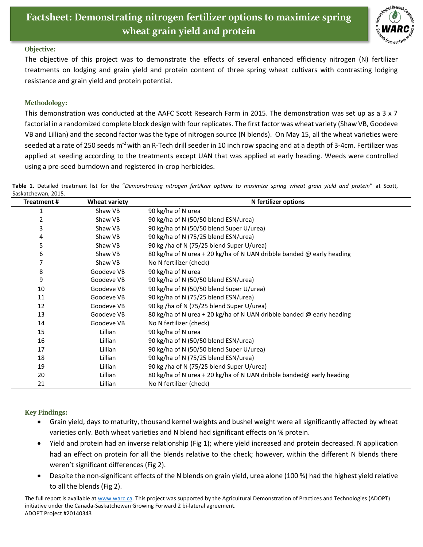

## **Objective:**

The objective of this project was to demonstrate the effects of several enhanced efficiency nitrogen (N) fertilizer treatments on lodging and grain yield and protein content of three spring wheat cultivars with contrasting lodging resistance and grain yield and protein potential.

## **Methodology:**

This demonstration was conducted at the AAFC Scott Research Farm in 2015. The demonstration was set up as a 3 x 7 factorial in a randomized complete block design with four replicates. The first factor was wheat variety (Shaw VB, Goodeve VB and Lillian) and the second factor was the type of nitrogen source (N blends). On May 15, all the wheat varieties were seeded at a rate of 250 seeds  $m^2$  with an R-Tech drill seeder in 10 inch row spacing and at a depth of 3-4cm. Fertilizer was applied at seeding according to the treatments except UAN that was applied at early heading. Weeds were controlled using a pre-seed burndown and registered in-crop herbicides.

**Table 1.** Detailed treatment list for the "*Demonstrating nitrogen fertilizer options to maximize spring wheat grain yield and protein*" at Scott, Saskatchewan, 2015.

| <b>Treatment#</b> | <b>Wheat variety</b> | N fertilizer options                                                  |
|-------------------|----------------------|-----------------------------------------------------------------------|
| 1                 | Shaw VB              | 90 kg/ha of N urea                                                    |
| 2                 | Shaw VB              | 90 kg/ha of N (50/50 blend ESN/urea)                                  |
| 3                 | Shaw VB              | 90 kg/ha of N (50/50 blend Super U/urea)                              |
| 4                 | Shaw VB              | 90 kg/ha of N (75/25 blend ESN/urea)                                  |
| 5                 | Shaw VB              | 90 kg /ha of N (75/25 blend Super U/urea)                             |
| 6                 | Shaw VB              | 80 kg/ha of N urea + 20 kg/ha of N UAN dribble banded @ early heading |
| 7                 | Shaw VB              | No N fertilizer (check)                                               |
| 8                 | Goodeve VB           | 90 kg/ha of N urea                                                    |
| 9                 | Goodeve VB           | 90 kg/ha of N (50/50 blend ESN/urea)                                  |
| 10                | Goodeve VB           | 90 kg/ha of N (50/50 blend Super U/urea)                              |
| 11                | Goodeve VB           | 90 kg/ha of N (75/25 blend ESN/urea)                                  |
| 12                | Goodeve VB           | 90 kg /ha of N (75/25 blend Super U/urea)                             |
| 13                | Goodeve VB           | 80 kg/ha of N urea + 20 kg/ha of N UAN dribble banded @ early heading |
| 14                | Goodeve VB           | No N fertilizer (check)                                               |
| 15                | Lillian              | 90 kg/ha of N urea                                                    |
| 16                | Lillian              | 90 kg/ha of N (50/50 blend ESN/urea)                                  |
| 17                | Lillian              | 90 kg/ha of N (50/50 blend Super U/urea)                              |
| 18                | Lillian              | 90 kg/ha of N (75/25 blend ESN/urea)                                  |
| 19                | Lillian              | 90 kg /ha of N (75/25 blend Super U/urea)                             |
| 20                | Lillian              | 80 kg/ha of N urea + 20 kg/ha of N UAN dribble banded@ early heading  |
| 21                | Lillian              | No N fertilizer (check)                                               |

## **Key Findings:**

- Grain yield, days to maturity, thousand kernel weights and bushel weight were all significantly affected by wheat varieties only. Both wheat varieties and N blend had significant effects on % protein.
- Yield and protein had an inverse relationship (Fig 1); where yield increased and protein decreased. N application had an effect on protein for all the blends relative to the check; however, within the different N blends there weren't significant differences (Fig 2).
- Despite the non-significant effects of the N blends on grain yield, urea alone (100 %) had the highest yield relative to all the blends (Fig 2).

The full report is available at [www.warc.ca.](http://www.warc.ca/) This project was supported by the Agricultural Demonstration of Practices and Technologies (ADOPT) initiative under the Canada-Saskatchewan Growing Forward 2 bi-lateral agreement. ADOPT Project #20140343